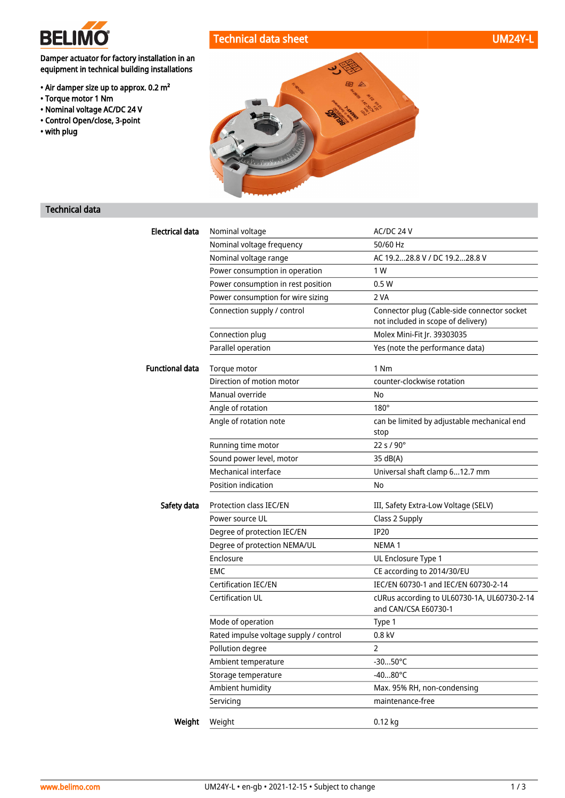

• Torque motor 1 Nm • Nominal voltage AC/DC 24 V • Control Open/close, 3-point

• with plug

• Air damper size up to approx. 0.2 m²

# Technical data sheet UM24Y-L



### Technical data

| Electrical data        | Nominal voltage                        | AC/DC 24 V                                                                        |
|------------------------|----------------------------------------|-----------------------------------------------------------------------------------|
|                        | Nominal voltage frequency              | 50/60 Hz                                                                          |
|                        | Nominal voltage range                  | AC 19.228.8 V / DC 19.228.8 V                                                     |
|                        | Power consumption in operation         | 1 W                                                                               |
|                        | Power consumption in rest position     | 0.5W                                                                              |
|                        | Power consumption for wire sizing      | 2 VA                                                                              |
|                        | Connection supply / control            | Connector plug (Cable-side connector socket<br>not included in scope of delivery) |
|                        | Connection plug                        | Molex Mini-Fit Jr. 39303035                                                       |
|                        | Parallel operation                     | Yes (note the performance data)                                                   |
| <b>Functional data</b> | Torque motor                           | 1 Nm                                                                              |
|                        | Direction of motion motor              | counter-clockwise rotation                                                        |
|                        | Manual override                        | No                                                                                |
|                        | Angle of rotation                      | $180^\circ$                                                                       |
|                        | Angle of rotation note                 | can be limited by adjustable mechanical end<br>stop                               |
|                        | Running time motor                     | 22 s / 90°                                                                        |
|                        | Sound power level, motor               | 35 dB(A)                                                                          |
|                        | Mechanical interface                   | Universal shaft clamp 612.7 mm                                                    |
|                        | Position indication                    | No                                                                                |
| Safety data            | Protection class IEC/EN                | III, Safety Extra-Low Voltage (SELV)                                              |
|                        | Power source UL                        | Class 2 Supply                                                                    |
|                        | Degree of protection IEC/EN            | <b>IP20</b>                                                                       |
|                        | Degree of protection NEMA/UL           | NEMA <sub>1</sub>                                                                 |
|                        | Enclosure                              | UL Enclosure Type 1                                                               |
|                        | EMC                                    | CE according to 2014/30/EU                                                        |
|                        | <b>Certification IEC/EN</b>            | IEC/EN 60730-1 and IEC/EN 60730-2-14                                              |
|                        | Certification UL                       | cURus according to UL60730-1A, UL60730-2-14<br>and CAN/CSA E60730-1               |
|                        | Mode of operation                      | Type 1                                                                            |
|                        | Rated impulse voltage supply / control | $0.8$ kV                                                                          |
|                        | Pollution degree                       | 2                                                                                 |
|                        | Ambient temperature                    | $-3050^{\circ}$ C                                                                 |
|                        | Storage temperature                    | $-4080^{\circ}$ C                                                                 |
|                        | Ambient humidity                       | Max. 95% RH, non-condensing                                                       |
|                        | Servicing                              | maintenance-free                                                                  |
| Weight                 | Weight                                 | 0.12 kg                                                                           |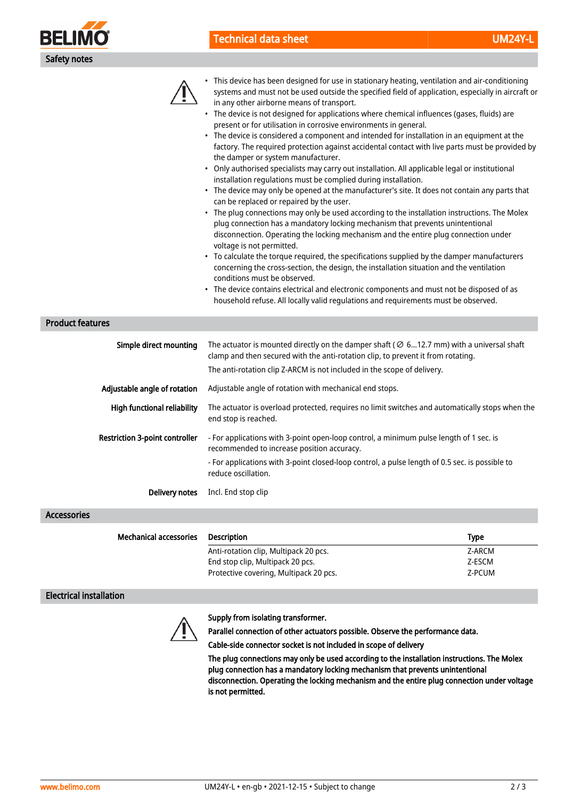

# Technical data sheet UM24Y-Like a sheet UM24Y-Like a sheet UM24Y-Like a sheet UM24Y-

• This device has been designed for use in stationary heating, ventilation and air-conditioning

|                                       | • This device has been designed for use in stationary heating, ventilation and air-conditioning<br>systems and must not be used outside the specified field of application, especially in aircraft or<br>in any other airborne means of transport.<br>• The device is not designed for applications where chemical influences (gases, fluids) are<br>present or for utilisation in corrosive environments in general.<br>• The device is considered a component and intended for installation in an equipment at the<br>factory. The required protection against accidental contact with live parts must be provided by<br>the damper or system manufacturer.<br>• Only authorised specialists may carry out installation. All applicable legal or institutional<br>installation regulations must be complied during installation.<br>• The device may only be opened at the manufacturer's site. It does not contain any parts that<br>can be replaced or repaired by the user.<br>• The plug connections may only be used according to the installation instructions. The Molex<br>plug connection has a mandatory locking mechanism that prevents unintentional<br>disconnection. Operating the locking mechanism and the entire plug connection under<br>voltage is not permitted.<br>• To calculate the torque required, the specifications supplied by the damper manufacturers<br>concerning the cross-section, the design, the installation situation and the ventilation<br>conditions must be observed.<br>• The device contains electrical and electronic components and must not be disposed of as<br>household refuse. All locally valid regulations and requirements must be observed. |
|---------------------------------------|------------------------------------------------------------------------------------------------------------------------------------------------------------------------------------------------------------------------------------------------------------------------------------------------------------------------------------------------------------------------------------------------------------------------------------------------------------------------------------------------------------------------------------------------------------------------------------------------------------------------------------------------------------------------------------------------------------------------------------------------------------------------------------------------------------------------------------------------------------------------------------------------------------------------------------------------------------------------------------------------------------------------------------------------------------------------------------------------------------------------------------------------------------------------------------------------------------------------------------------------------------------------------------------------------------------------------------------------------------------------------------------------------------------------------------------------------------------------------------------------------------------------------------------------------------------------------------------------------------------------------------------------------------------------------------------------------|
| <b>Product features</b>               |                                                                                                                                                                                                                                                                                                                                                                                                                                                                                                                                                                                                                                                                                                                                                                                                                                                                                                                                                                                                                                                                                                                                                                                                                                                                                                                                                                                                                                                                                                                                                                                                                                                                                                      |
| Simple direct mounting                | The actuator is mounted directly on the damper shaft ( $\varnothing$ 612.7 mm) with a universal shaft<br>clamp and then secured with the anti-rotation clip, to prevent it from rotating.<br>The anti-rotation clip Z-ARCM is not included in the scope of delivery.                                                                                                                                                                                                                                                                                                                                                                                                                                                                                                                                                                                                                                                                                                                                                                                                                                                                                                                                                                                                                                                                                                                                                                                                                                                                                                                                                                                                                                 |
| Adjustable angle of rotation          | Adjustable angle of rotation with mechanical end stops.                                                                                                                                                                                                                                                                                                                                                                                                                                                                                                                                                                                                                                                                                                                                                                                                                                                                                                                                                                                                                                                                                                                                                                                                                                                                                                                                                                                                                                                                                                                                                                                                                                              |
| <b>High functional reliability</b>    | The actuator is overload protected, requires no limit switches and automatically stops when the<br>end stop is reached.                                                                                                                                                                                                                                                                                                                                                                                                                                                                                                                                                                                                                                                                                                                                                                                                                                                                                                                                                                                                                                                                                                                                                                                                                                                                                                                                                                                                                                                                                                                                                                              |
| <b>Restriction 3-point controller</b> | - For applications with 3-point open-loop control, a minimum pulse length of 1 sec. is<br>recommended to increase position accuracy.                                                                                                                                                                                                                                                                                                                                                                                                                                                                                                                                                                                                                                                                                                                                                                                                                                                                                                                                                                                                                                                                                                                                                                                                                                                                                                                                                                                                                                                                                                                                                                 |
|                                       | - For applications with 3-point closed-loop control, a pulse length of 0.5 sec. is possible to<br>reduce oscillation.                                                                                                                                                                                                                                                                                                                                                                                                                                                                                                                                                                                                                                                                                                                                                                                                                                                                                                                                                                                                                                                                                                                                                                                                                                                                                                                                                                                                                                                                                                                                                                                |
| Delivery notes                        | Incl. End stop clip                                                                                                                                                                                                                                                                                                                                                                                                                                                                                                                                                                                                                                                                                                                                                                                                                                                                                                                                                                                                                                                                                                                                                                                                                                                                                                                                                                                                                                                                                                                                                                                                                                                                                  |
| <b>Accessories</b>                    |                                                                                                                                                                                                                                                                                                                                                                                                                                                                                                                                                                                                                                                                                                                                                                                                                                                                                                                                                                                                                                                                                                                                                                                                                                                                                                                                                                                                                                                                                                                                                                                                                                                                                                      |

| <b>Mechanical accessories</b> | Description                            | <b>Type</b> |
|-------------------------------|----------------------------------------|-------------|
|                               | Anti-rotation clip, Multipack 20 pcs.  | Z-ARCM      |
|                               | End stop clip, Multipack 20 pcs.       | Z-ESCM      |
|                               | Protective covering, Multipack 20 pcs. | Z-PCUM      |

#### Electrical installation



#### Supply from isolating transformer.

Parallel connection of other actuators possible. Observe the performance data.

Cable-side connector socket is not included in scope of delivery

The plug connections may only be used according to the installation instructions. The Molex plug connection has a mandatory locking mechanism that prevents unintentional disconnection. Operating the locking mechanism and the entire plug connection under voltage is not permitted.